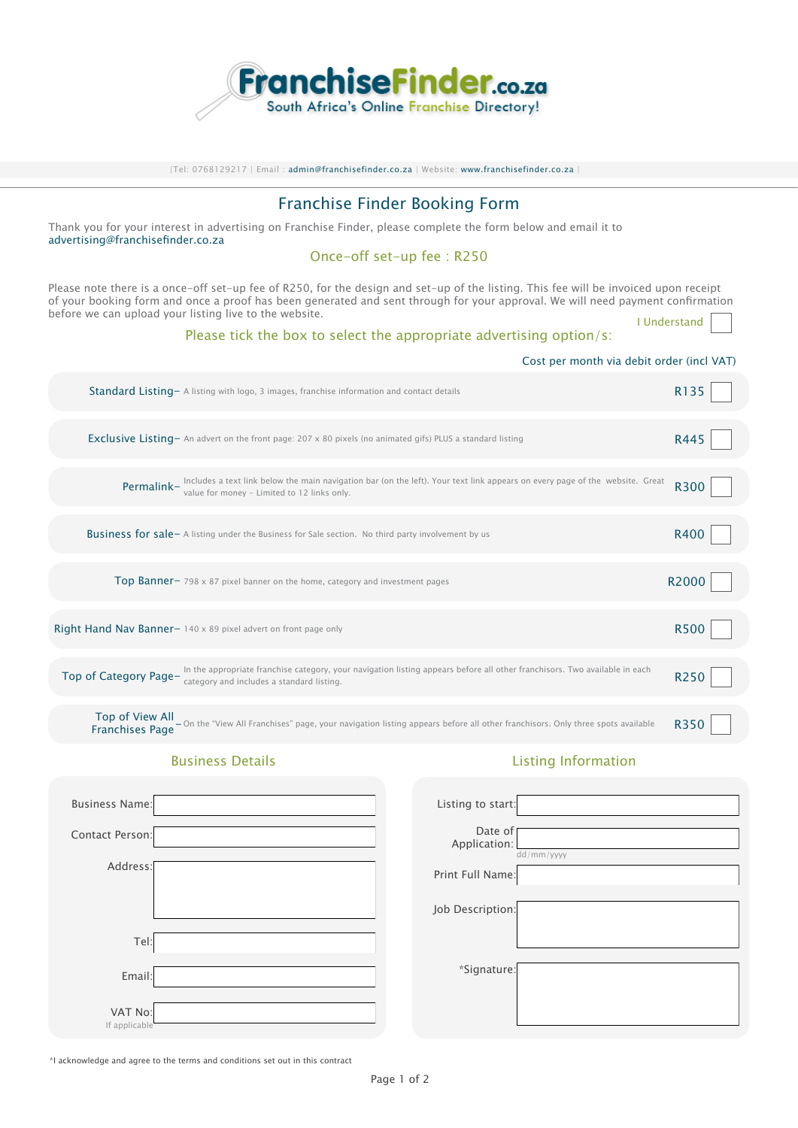

|Tel: 0768129217 | Email : admin@f[ranchisefinder.co.za |](mailto:info%40franchisefinder.co.za?subject=Enquiry%20on%20Franchise%20Finder) Website: www.franchisefinder.co.za |

# Franchise Finder Booking Form

Thank you for your interest in advertising on Franchise Finder, please complete the form below and email it to [advertising@franchisefinder.co.za](mailto:advertising%40franchisefinder.co.za?subject=Advertising%20Enquiry%20on%20Franchise%20Finder)

# Once-off set-up fee : R250

Please note there is a once-off set-up fee of R250, for the design and set-up of the listing. This fee will be invoiced upon receipt of your booking form and once a proof has been generated and sent through for your approval. We will need payment confirmation before we can upload your listing live to the website. I Understand

### Please tick the box to select the appropriate advertising option/s:

|                                           | Cost per month via debit order (incl VAT)                                                                                                                                                   |             |
|-------------------------------------------|---------------------------------------------------------------------------------------------------------------------------------------------------------------------------------------------|-------------|
|                                           | Standard Listing - A listing with logo, 3 images, franchise information and contact details                                                                                                 | R135        |
|                                           | Exclusive Listing - An advert on the front page: 207 x 80 pixels (no animated gifs) PLUS a standard listing                                                                                 | R445        |
|                                           | <b>Permalink</b> – Includes a text link below the main navigation bar (on the left). Your text link appears on every page of the website. Great value for money – Limited to 12 links only. | <b>R300</b> |
|                                           | <b>Business for sale</b> – A listing under the Business for Sale section. No third party involvement by us                                                                                  | R400        |
|                                           | <b>Top Banner-</b> 798 x 87 pixel banner on the home, category and investment pages                                                                                                         | R2000       |
|                                           | Right Hand Nav Banner- 140 x 89 pixel advert on front page only                                                                                                                             | <b>R500</b> |
| Top of Category Page-                     | In the appropriate franchise category, your navigation listing appears before all other franchisors. Two available in each<br>category and includes a standard listing.                     | R250        |
| Top of View All<br><b>Franchises Page</b> | - On the "View All Franchises" page, your navigation listing appears before all other franchisors. Only three spots available                                                               | R350        |

#### Business Details **Listing Information**

| <b>Business Name:</b>    |  | Listing to start:       |            |
|--------------------------|--|-------------------------|------------|
| Contact Person:          |  | Date of<br>Application: | dd/mm/yyyy |
| Address:                 |  | Print Full Name:        |            |
|                          |  | Job Description:        |            |
| Tel:                     |  |                         |            |
| Email:                   |  | *Signature:             |            |
| VAT No:<br>If applicable |  |                         |            |

\*I acknowledge and agree to the terms and conditions set out in this contract